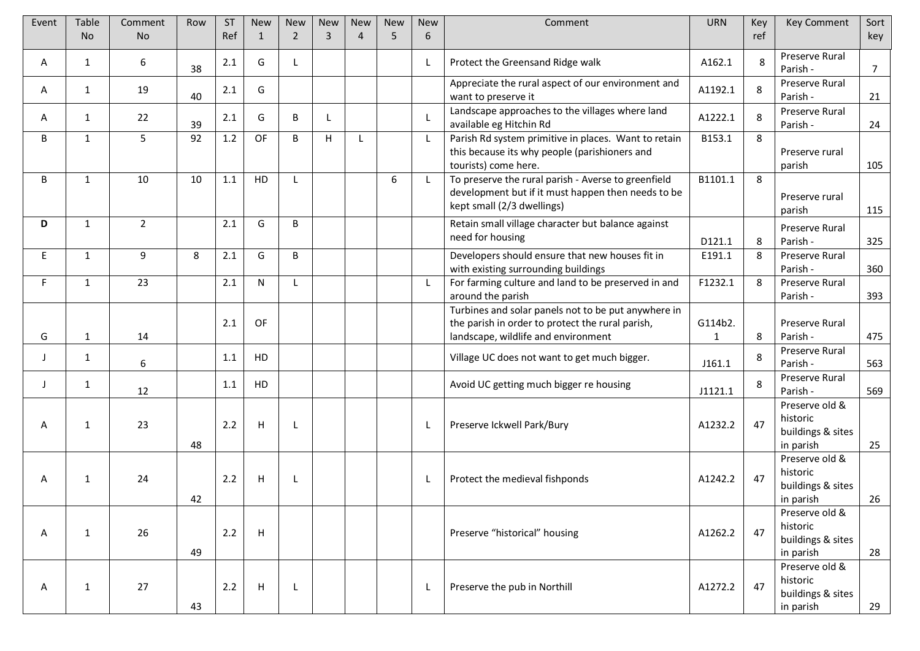| Event | Table        | Comment        | Row | <b>ST</b> | <b>New</b> | <b>New</b>     | New            | <b>New</b>     | <b>New</b> | <b>New</b>   | Comment                                                                                                                                                         | <b>URN</b>              | Key | <b>Key Comment</b>                                           | Sort       |
|-------|--------------|----------------|-----|-----------|------------|----------------|----------------|----------------|------------|--------------|-----------------------------------------------------------------------------------------------------------------------------------------------------------------|-------------------------|-----|--------------------------------------------------------------|------------|
|       | <b>No</b>    | <b>No</b>      |     | Ref       | 1          | $\overline{2}$ | $\overline{3}$ | $\overline{4}$ | 5          | 6            |                                                                                                                                                                 |                         | ref |                                                              | key        |
| A     | 1            | 6              | 38  | 2.1       | G          | -L             |                |                |            | L            | Protect the Greensand Ridge walk                                                                                                                                | A162.1                  | 8   | Preserve Rural<br>Parish -                                   | 7          |
| A     | $\mathbf{1}$ | 19             | 40  | 2.1       | G          |                |                |                |            |              | Appreciate the rural aspect of our environment and<br>want to preserve it                                                                                       | A1192.1                 | 8   | Preserve Rural<br>Parish -                                   | 21         |
| A     | 1            | 22             | 39  | 2.1       | G          | B              |                |                |            | L            | Landscape approaches to the villages where land<br>available eg Hitchin Rd                                                                                      | A1222.1                 | 8   | Preserve Rural<br>Parish -                                   | 24         |
| B     | 1            | 5              | 92  | $1.2\,$   | OF         | B              | H              | L              |            | L            | Parish Rd system primitive in places. Want to retain<br>this because its why people (parishioners and                                                           | B153.1                  | 8   | Preserve rural                                               |            |
| B     | $\mathbf{1}$ | 10             | 10  | 1.1       | HD         | L              |                |                | 6          | $\mathsf{L}$ | tourists) come here.<br>To preserve the rural parish - Averse to greenfield<br>development but if it must happen then needs to be<br>kept small (2/3 dwellings) | B1101.1                 | 8   | parish<br>Preserve rural<br>parish                           | 105<br>115 |
| D     | $\mathbf{1}$ | $\overline{2}$ |     | 2.1       | G          | B              |                |                |            |              | Retain small village character but balance against<br>need for housing                                                                                          | D121.1                  | 8   | Preserve Rural<br>Parish -                                   | 325        |
| E     | $\mathbf{1}$ | 9              | 8   | 2.1       | G          | B              |                |                |            |              | Developers should ensure that new houses fit in<br>with existing surrounding buildings                                                                          | E191.1                  | 8   | Preserve Rural<br>Parish -                                   | 360        |
| F.    | 1            | 23             |     | 2.1       | N          | L              |                |                |            | L            | For farming culture and land to be preserved in and<br>around the parish                                                                                        | F1232.1                 | 8   | Preserve Rural<br>Parish -                                   | 393        |
| G     | $\mathbf{1}$ | 14             |     | 2.1       | OF         |                |                |                |            |              | Turbines and solar panels not to be put anywhere in<br>the parish in order to protect the rural parish,<br>landscape, wildlife and environment                  | G114b2.<br>$\mathbf{1}$ | 8   | Preserve Rural<br>Parish -                                   | 475        |
| J     | 1            | 6              |     | 1.1       | HD         |                |                |                |            |              | Village UC does not want to get much bigger.                                                                                                                    | J161.1                  | 8   | Preserve Rural<br>Parish -                                   | 563        |
| J.    | 1            | 12             |     | 1.1       | HD         |                |                |                |            |              | Avoid UC getting much bigger re housing                                                                                                                         | J1121.1                 | 8   | Preserve Rural<br>Parish -                                   | 569        |
| Α     | $\mathbf{1}$ | 23             | 48  | 2.2       | H          | $\mathsf{L}$   |                |                |            | L            | Preserve Ickwell Park/Bury                                                                                                                                      | A1232.2                 | 47  | Preserve old &<br>historic<br>buildings & sites<br>in parish | 25         |
| A     | 1            | 24             | 42  | 2.2       | H          |                |                |                |            | L.           | Protect the medieval fishponds                                                                                                                                  | A1242.2                 | 47  | Preserve old &<br>historic<br>buildings & sites<br>in parish | 26         |
| A     | $\mathbf{1}$ | 26             | 49  | 2.2       | H          |                |                |                |            |              | Preserve "historical" housing                                                                                                                                   | A1262.2                 | 47  | Preserve old &<br>historic<br>buildings & sites<br>in parish | 28         |
| Α     | $\mathbf{1}$ | 27             | 43  | 2.2       | H          | L              |                |                |            | L            | Preserve the pub in Northill                                                                                                                                    | A1272.2                 | 47  | Preserve old &<br>historic<br>buildings & sites<br>in parish | 29         |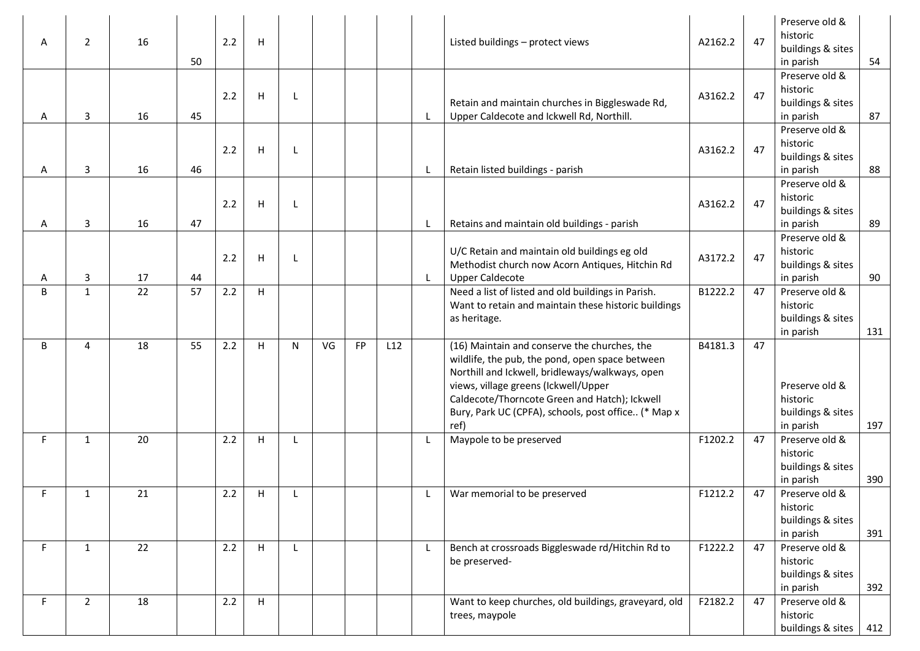| A  | $\overline{2}$ | 16 | 50 | 2.2 | н                         |   |    |    |     | Listed buildings - protect views                                                                                                                                                                                                                                                                           | A2162.2 | 47 | Preserve old &<br>historic<br>buildings & sites<br>in parish<br>Preserve old & | 54  |
|----|----------------|----|----|-----|---------------------------|---|----|----|-----|------------------------------------------------------------------------------------------------------------------------------------------------------------------------------------------------------------------------------------------------------------------------------------------------------------|---------|----|--------------------------------------------------------------------------------|-----|
| A  | 3              | 16 | 45 | 2.2 | н                         |   |    |    |     | Retain and maintain churches in Biggleswade Rd,<br>Upper Caldecote and Ickwell Rd, Northill.                                                                                                                                                                                                               | A3162.2 | 47 | historic<br>buildings & sites<br>in parish                                     | 87  |
| A  | 3              | 16 | 46 | 2.2 | H                         |   |    |    |     | Retain listed buildings - parish                                                                                                                                                                                                                                                                           | A3162.2 | 47 | Preserve old &<br>historic<br>buildings & sites<br>in parish                   | 88  |
| A  | 3              | 16 | 47 | 2.2 | H                         |   |    |    |     | Retains and maintain old buildings - parish                                                                                                                                                                                                                                                                | A3162.2 | 47 | Preserve old &<br>historic<br>buildings & sites<br>in parish                   | 89  |
| Α  | 3              | 17 | 44 | 2.2 | H                         |   |    |    |     | U/C Retain and maintain old buildings eg old<br>Methodist church now Acorn Antiques, Hitchin Rd<br><b>Upper Caldecote</b>                                                                                                                                                                                  | A3172.2 | 47 | Preserve old &<br>historic<br>buildings & sites<br>in parish                   | 90  |
| B  | $\mathbf{1}$   | 22 | 57 | 2.2 | н                         |   |    |    |     | Need a list of listed and old buildings in Parish.<br>Want to retain and maintain these historic buildings<br>as heritage.                                                                                                                                                                                 | B1222.2 | 47 | Preserve old &<br>historic<br>buildings & sites<br>in parish                   | 131 |
| B  | 4              | 18 | 55 | 2.2 | H                         | N | VG | FP | L12 | (16) Maintain and conserve the churches, the<br>wildlife, the pub, the pond, open space between<br>Northill and Ickwell, bridleways/walkways, open<br>views, village greens (Ickwell/Upper<br>Caldecote/Thorncote Green and Hatch); Ickwell<br>Bury, Park UC (CPFA), schools, post office (* Map x<br>ref) | B4181.3 | 47 | Preserve old &<br>historic<br>buildings & sites<br>in parish                   | 197 |
| F. | $\mathbf{1}$   | 20 |    | 2.2 | H                         |   |    |    |     | Maypole to be preserved                                                                                                                                                                                                                                                                                    | F1202.2 | 47 | Preserve old &<br>historic<br>buildings & sites<br>in parish                   | 390 |
| F. | 1              | 21 |    | 2.2 | н                         |   |    |    |     | War memorial to be preserved                                                                                                                                                                                                                                                                               | F1212.2 | 47 | Preserve old &<br>historic<br>buildings & sites<br>in parish                   | 391 |
| F. | 1              | 22 |    | 2.2 | н                         |   |    |    |     | Bench at crossroads Biggleswade rd/Hitchin Rd to<br>be preserved-                                                                                                                                                                                                                                          | F1222.2 | 47 | Preserve old &<br>historic<br>buildings & sites<br>in parish                   | 392 |
| F. | $\overline{2}$ | 18 |    | 2.2 | $\boldsymbol{\mathsf{H}}$ |   |    |    |     | Want to keep churches, old buildings, graveyard, old<br>trees, maypole                                                                                                                                                                                                                                     | F2182.2 | 47 | Preserve old &<br>historic<br>buildings & sites                                | 412 |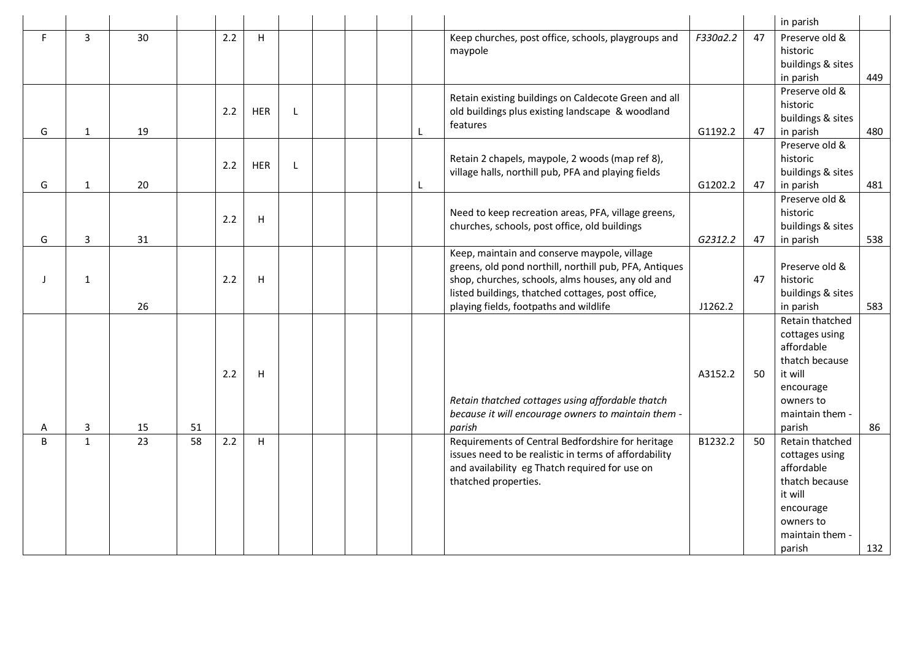|    |                |    |                 |     |              |              |  |   |                                                        |          |    | in parish                      |     |
|----|----------------|----|-----------------|-----|--------------|--------------|--|---|--------------------------------------------------------|----------|----|--------------------------------|-----|
| F. | $\overline{3}$ | 30 |                 | 2.2 | H            |              |  |   | Keep churches, post office, schools, playgroups and    | F330a2.2 | 47 | Preserve old &                 |     |
|    |                |    |                 |     |              |              |  |   | maypole                                                |          |    | historic                       |     |
|    |                |    |                 |     |              |              |  |   |                                                        |          |    | buildings & sites              |     |
|    |                |    |                 |     |              |              |  |   |                                                        |          |    | in parish                      | 449 |
|    |                |    |                 |     |              |              |  |   | Retain existing buildings on Caldecote Green and all   |          |    | Preserve old &                 |     |
|    |                |    |                 | 2.2 | <b>HER</b>   | L            |  |   | old buildings plus existing landscape & woodland       |          |    | historic                       |     |
| G  | $\mathbf{1}$   | 19 |                 |     |              |              |  | L | features                                               | G1192.2  | 47 | buildings & sites<br>in parish | 480 |
|    |                |    |                 |     |              |              |  |   |                                                        |          |    | Preserve old &                 |     |
|    |                |    |                 |     |              |              |  |   | Retain 2 chapels, maypole, 2 woods (map ref 8),        |          |    | historic                       |     |
|    |                |    |                 | 2.2 | HER          | $\mathbf{I}$ |  |   | village halls, northill pub, PFA and playing fields    |          |    | buildings & sites              |     |
| G  | 1              | 20 |                 |     |              |              |  | L |                                                        | G1202.2  | 47 | in parish                      | 481 |
|    |                |    |                 |     |              |              |  |   |                                                        |          |    | Preserve old &                 |     |
|    |                |    |                 |     |              |              |  |   | Need to keep recreation areas, PFA, village greens,    |          |    | historic                       |     |
|    |                |    |                 | 2.2 | $\mathsf{H}$ |              |  |   | churches, schools, post office, old buildings          |          |    | buildings & sites              |     |
| G  | 3              | 31 |                 |     |              |              |  |   |                                                        | G2312.2  | 47 | in parish                      | 538 |
|    |                |    |                 |     |              |              |  |   | Keep, maintain and conserve maypole, village           |          |    |                                |     |
|    |                |    |                 |     |              |              |  |   | greens, old pond northill, northill pub, PFA, Antiques |          |    | Preserve old &                 |     |
|    | $\mathbf{1}$   |    |                 | 2.2 | Н            |              |  |   | shop, churches, schools, alms houses, any old and      |          | 47 | historic                       |     |
|    |                |    |                 |     |              |              |  |   | listed buildings, thatched cottages, post office,      |          |    | buildings & sites              |     |
|    |                | 26 |                 |     |              |              |  |   | playing fields, footpaths and wildlife                 | J1262.2  |    | in parish                      | 583 |
|    |                |    |                 |     |              |              |  |   |                                                        |          |    | Retain thatched                |     |
|    |                |    |                 |     |              |              |  |   |                                                        |          |    | cottages using<br>affordable   |     |
|    |                |    |                 |     |              |              |  |   |                                                        |          |    | thatch because                 |     |
|    |                |    |                 | 2.2 | н            |              |  |   |                                                        | A3152.2  | 50 | it will                        |     |
|    |                |    |                 |     |              |              |  |   |                                                        |          |    | encourage                      |     |
|    |                |    |                 |     |              |              |  |   | Retain thatched cottages using affordable thatch       |          |    | owners to                      |     |
|    |                |    |                 |     |              |              |  |   | because it will encourage owners to maintain them -    |          |    | maintain them -                |     |
| Α  | 3              | 15 | 51              |     |              |              |  |   | parish                                                 |          |    | parish                         | 86  |
| B  | $\mathbf{1}$   | 23 | $\overline{58}$ | 2.2 | H            |              |  |   | Requirements of Central Bedfordshire for heritage      | B1232.2  | 50 | Retain thatched                |     |
|    |                |    |                 |     |              |              |  |   | issues need to be realistic in terms of affordability  |          |    | cottages using                 |     |
|    |                |    |                 |     |              |              |  |   | and availability eg Thatch required for use on         |          |    | affordable                     |     |
|    |                |    |                 |     |              |              |  |   | thatched properties.                                   |          |    | thatch because                 |     |
|    |                |    |                 |     |              |              |  |   |                                                        |          |    | it will                        |     |
|    |                |    |                 |     |              |              |  |   |                                                        |          |    | encourage                      |     |
|    |                |    |                 |     |              |              |  |   |                                                        |          |    | owners to                      |     |
|    |                |    |                 |     |              |              |  |   |                                                        |          |    | maintain them -                |     |
|    |                |    |                 |     |              |              |  |   |                                                        |          |    | parish                         | 132 |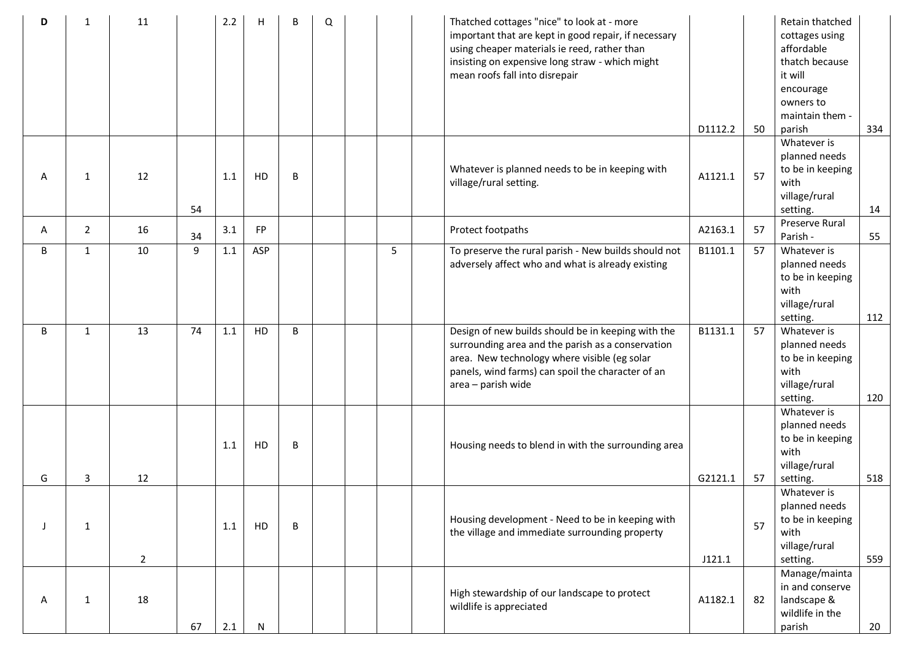| ח | 1              | 11             |    | 2.2     | H         | B | Q |   | Thatched cottages "nice" to look at - more<br>important that are kept in good repair, if necessary<br>using cheaper materials ie reed, rather than<br>insisting on expensive long straw - which might<br>mean roofs fall into disrepair | D1112.2 | 50 | Retain thatched<br>cottages using<br>affordable<br>thatch because<br>it will<br>encourage<br>owners to<br>maintain them -<br>parish | 334 |
|---|----------------|----------------|----|---------|-----------|---|---|---|-----------------------------------------------------------------------------------------------------------------------------------------------------------------------------------------------------------------------------------------|---------|----|-------------------------------------------------------------------------------------------------------------------------------------|-----|
| A | $\mathbf{1}$   | 12             | 54 | 1.1     | HD        | B |   |   | Whatever is planned needs to be in keeping with<br>village/rural setting.                                                                                                                                                               | A1121.1 | 57 | Whatever is<br>planned needs<br>to be in keeping<br>with<br>village/rural<br>setting.                                               | 14  |
| A | $\overline{2}$ | 16             | 34 | 3.1     | FP        |   |   |   | Protect footpaths                                                                                                                                                                                                                       | A2163.1 | 57 | Preserve Rural<br>Parish -                                                                                                          | 55  |
| B | $\mathbf{1}$   | 10             | 9  | 1.1     | ASP       |   |   | 5 | To preserve the rural parish - New builds should not<br>adversely affect who and what is already existing                                                                                                                               | B1101.1 | 57 | Whatever is<br>planned needs<br>to be in keeping<br>with<br>village/rural<br>setting.                                               | 112 |
| B | $\mathbf{1}$   | 13             | 74 | $1.1\,$ | HD        | B |   |   | Design of new builds should be in keeping with the<br>surrounding area and the parish as a conservation<br>area. New technology where visible (eg solar<br>panels, wind farms) can spoil the character of an<br>area - parish wide      | B1131.1 | 57 | Whatever is<br>planned needs<br>to be in keeping<br>with<br>village/rural<br>setting.                                               | 120 |
| G | 3              | 12             |    | 1.1     | HD        | B |   |   | Housing needs to blend in with the surrounding area                                                                                                                                                                                     | G2121.1 | 57 | Whatever is<br>planned needs<br>to be in keeping<br>with<br>village/rural<br>setting.                                               | 518 |
|   | 1              | $\overline{2}$ |    | 1.1     | HD        | B |   |   | Housing development - Need to be in keeping with<br>the village and immediate surrounding property                                                                                                                                      | J121.1  | 57 | Whatever is<br>planned needs<br>to be in keeping<br>with<br>village/rural<br>setting.                                               | 559 |
| Α | $\mathbf{1}$   | 18             | 67 | 2.1     | ${\sf N}$ |   |   |   | High stewardship of our landscape to protect<br>wildlife is appreciated                                                                                                                                                                 | A1182.1 | 82 | Manage/mainta<br>in and conserve<br>landscape &<br>wildlife in the<br>parish                                                        | 20  |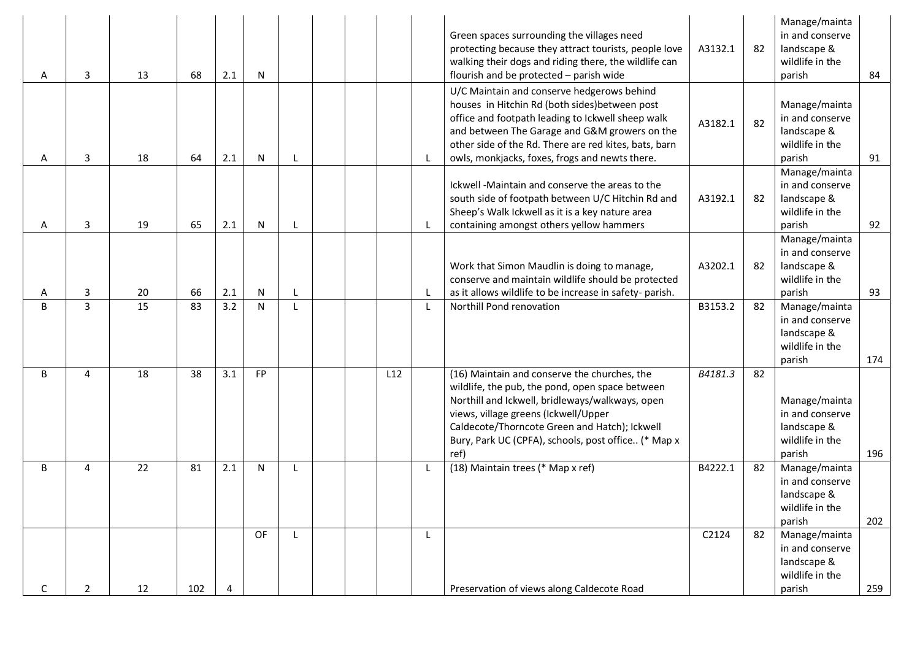| Α            | 3              | 13 | 68  | 2.1 | N  |  |     | Green spaces surrounding the villages need<br>protecting because they attract tourists, people love<br>walking their dogs and riding there, the wildlife can<br>flourish and be protected - parish wide                                                                                                       | A3132.1 | 82 | Manage/mainta<br>in and conserve<br>landscape &<br>wildlife in the<br>parish | 84  |
|--------------|----------------|----|-----|-----|----|--|-----|---------------------------------------------------------------------------------------------------------------------------------------------------------------------------------------------------------------------------------------------------------------------------------------------------------------|---------|----|------------------------------------------------------------------------------|-----|
| A            | 3              | 18 | 64  | 2.1 | N  |  |     | U/C Maintain and conserve hedgerows behind<br>houses in Hitchin Rd (both sides) between post<br>office and footpath leading to Ickwell sheep walk<br>and between The Garage and G&M growers on the<br>other side of the Rd. There are red kites, bats, barn<br>owls, monkjacks, foxes, frogs and newts there. | A3182.1 | 82 | Manage/mainta<br>in and conserve<br>landscape &<br>wildlife in the<br>parish | 91  |
| A            | 3              | 19 | 65  | 2.1 | N  |  |     | Ickwell -Maintain and conserve the areas to the<br>south side of footpath between U/C Hitchin Rd and<br>Sheep's Walk Ickwell as it is a key nature area<br>containing amongst others yellow hammers                                                                                                           | A3192.1 | 82 | Manage/mainta<br>in and conserve<br>landscape &<br>wildlife in the<br>parish | 92  |
| Α            | 3              | 20 | 66  | 2.1 | N  |  |     | Work that Simon Maudlin is doing to manage,<br>conserve and maintain wildlife should be protected<br>as it allows wildlife to be increase in safety-parish.                                                                                                                                                   | A3202.1 | 82 | Manage/mainta<br>in and conserve<br>landscape &<br>wildlife in the<br>parish | 93  |
| B            | 3              | 15 | 83  | 3.2 | N  |  |     | Northill Pond renovation                                                                                                                                                                                                                                                                                      | B3153.2 | 82 | Manage/mainta<br>in and conserve<br>landscape &<br>wildlife in the<br>parish | 174 |
| B            | 4              | 18 | 38  | 3.1 | FP |  | L12 | (16) Maintain and conserve the churches, the<br>wildlife, the pub, the pond, open space between<br>Northill and Ickwell, bridleways/walkways, open<br>views, village greens (Ickwell/Upper<br>Caldecote/Thorncote Green and Hatch); Ickwell<br>Bury, Park UC (CPFA), schools, post office (* Map x<br>ref)    | B4181.3 | 82 | Manage/mainta<br>in and conserve<br>landscape &<br>wildlife in the<br>parish | 196 |
| B            | 4              | 22 | 81  | 2.1 | N  |  |     | (18) Maintain trees (* Map x ref)                                                                                                                                                                                                                                                                             | B4222.1 | 82 | Manage/mainta<br>in and conserve<br>landscape &<br>wildlife in the<br>parish | 202 |
| $\mathsf{C}$ | $\overline{2}$ | 12 | 102 | Δ   | OF |  |     | Preservation of views along Caldecote Road                                                                                                                                                                                                                                                                    | C2124   | 82 | Manage/mainta<br>in and conserve<br>landscape &<br>wildlife in the<br>parish | 259 |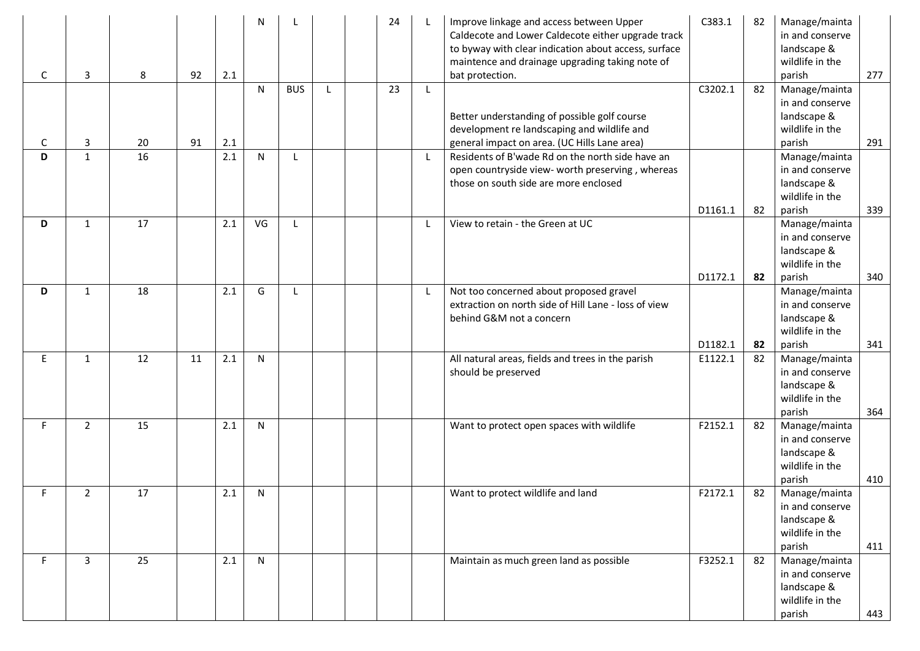| C      | 3                 | 8        | 92 | 2.1        | $\mathsf{N}$ |            |              | 24 | Improve linkage and access between Upper<br>Caldecote and Lower Caldecote either upgrade track<br>to byway with clear indication about access, surface<br>maintence and drainage upgrading taking note of<br>bat protection. | C383.1             | 82       | Manage/mainta<br>in and conserve<br>landscape &<br>wildlife in the<br>parish           | 277        |
|--------|-------------------|----------|----|------------|--------------|------------|--------------|----|------------------------------------------------------------------------------------------------------------------------------------------------------------------------------------------------------------------------------|--------------------|----------|----------------------------------------------------------------------------------------|------------|
|        |                   |          |    |            | N            | <b>BUS</b> | $\mathsf{L}$ | 23 | Better understanding of possible golf course<br>development re landscaping and wildlife and                                                                                                                                  | C3202.1            | 82       | Manage/mainta<br>in and conserve<br>landscape &<br>wildlife in the                     |            |
| C<br>D | 3<br>$\mathbf{1}$ | 20<br>16 | 91 | 2.1<br>2.1 | $\mathsf{N}$ |            |              |    | general impact on area. (UC Hills Lane area)<br>Residents of B'wade Rd on the north side have an<br>open countryside view- worth preserving, whereas<br>those on south side are more enclosed                                |                    |          | parish<br>Manage/mainta<br>in and conserve<br>landscape &<br>wildlife in the           | 291        |
| D      | $\mathbf{1}$      | 17       |    | 2.1        | VG           | L          |              |    | View to retain - the Green at UC                                                                                                                                                                                             | D1161.1<br>D1172.1 | 82<br>82 | parish<br>Manage/mainta<br>in and conserve<br>landscape &<br>wildlife in the<br>parish | 339<br>340 |
| D      | $\mathbf{1}$      | 18       |    | 2.1        | G            | L          |              |    | Not too concerned about proposed gravel<br>extraction on north side of Hill Lane - loss of view<br>behind G&M not a concern                                                                                                  | D1182.1            | 82       | Manage/mainta<br>in and conserve<br>landscape &<br>wildlife in the<br>parish           | 341        |
| E.     | 1                 | 12       | 11 | 2.1        | $\mathsf{N}$ |            |              |    | All natural areas, fields and trees in the parish<br>should be preserved                                                                                                                                                     | E1122.1            | 82       | Manage/mainta<br>in and conserve<br>landscape &<br>wildlife in the<br>parish           | 364        |
| F.     | $\overline{2}$    | 15       |    | 2.1        | $\mathsf{N}$ |            |              |    | Want to protect open spaces with wildlife                                                                                                                                                                                    | F2152.1            | 82       | Manage/mainta<br>in and conserve<br>landscape &<br>wildlife in the<br>parish           | 410        |
| F.     | $\overline{2}$    | 17       |    | 2.1        | $\mathsf{N}$ |            |              |    | Want to protect wildlife and land                                                                                                                                                                                            | F2172.1            | 82       | Manage/mainta<br>in and conserve<br>landscape &<br>wildlife in the<br>parish           | 411        |
| F.     | 3                 | 25       |    | 2.1        | N            |            |              |    | Maintain as much green land as possible                                                                                                                                                                                      | F3252.1            | 82       | Manage/mainta<br>in and conserve<br>landscape &<br>wildlife in the<br>parish           | 443        |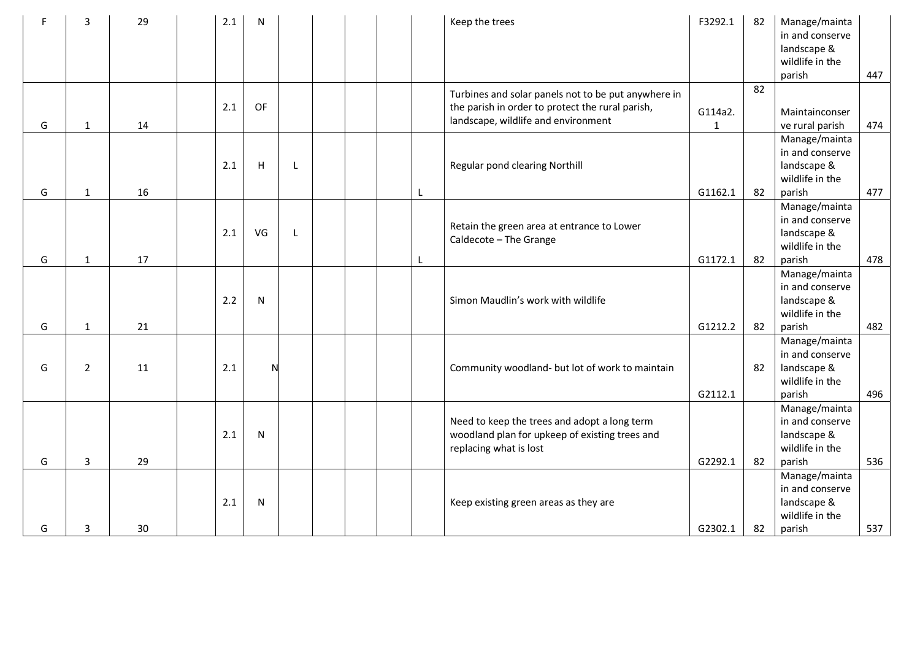|   | 3              | 29 | 2.1 | $\mathsf{N}$ |              |  |   | Keep the trees                                                                                                                                 | F3292.1                 | 82 | Manage/mainta<br>in and conserve<br>landscape &<br>wildlife in the<br>parish | 447 |
|---|----------------|----|-----|--------------|--------------|--|---|------------------------------------------------------------------------------------------------------------------------------------------------|-------------------------|----|------------------------------------------------------------------------------|-----|
| G | $\mathbf{1}$   | 14 | 2.1 | OF           |              |  |   | Turbines and solar panels not to be put anywhere in<br>the parish in order to protect the rural parish,<br>landscape, wildlife and environment | G114a2.<br>$\mathbf{1}$ | 82 | Maintainconser<br>ve rural parish                                            | 474 |
| G | $\mathbf{1}$   | 16 | 2.1 | $\sf H$      |              |  | L | Regular pond clearing Northill                                                                                                                 | G1162.1                 | 82 | Manage/mainta<br>in and conserve<br>landscape &<br>wildlife in the<br>parish | 477 |
| G | $\mathbf{1}$   | 17 | 2.1 | VG           | $\mathsf{L}$ |  | L | Retain the green area at entrance to Lower<br>Caldecote - The Grange                                                                           | G1172.1                 | 82 | Manage/mainta<br>in and conserve<br>landscape &<br>wildlife in the<br>parish | 478 |
| G | $\mathbf{1}$   | 21 | 2.2 | N            |              |  |   | Simon Maudlin's work with wildlife                                                                                                             | G1212.2                 | 82 | Manage/mainta<br>in and conserve<br>landscape &<br>wildlife in the<br>parish | 482 |
| G | $\overline{2}$ | 11 | 2.1 | N            |              |  |   | Community woodland- but lot of work to maintain                                                                                                | G2112.1                 | 82 | Manage/mainta<br>in and conserve<br>landscape &<br>wildlife in the<br>parish | 496 |
| G | 3              | 29 | 2.1 | $\mathsf{N}$ |              |  |   | Need to keep the trees and adopt a long term<br>woodland plan for upkeep of existing trees and<br>replacing what is lost                       | G2292.1                 | 82 | Manage/mainta<br>in and conserve<br>landscape &<br>wildlife in the<br>parish | 536 |
| G | 3              | 30 | 2.1 | N            |              |  |   | Keep existing green areas as they are                                                                                                          | G2302.1                 | 82 | Manage/mainta<br>in and conserve<br>landscape &<br>wildlife in the<br>parish | 537 |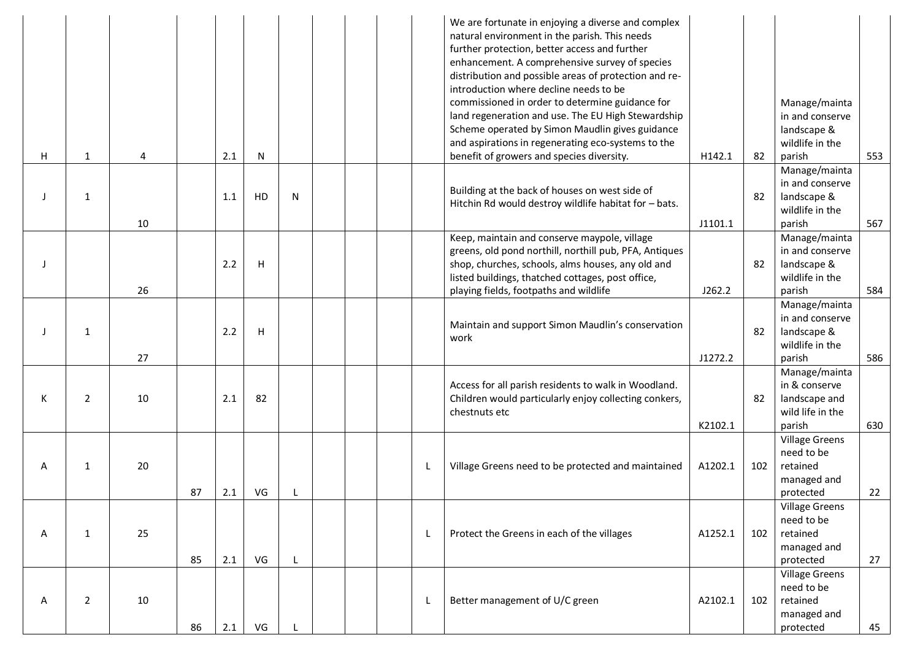|   |                |    |    | 2.1 |                         |   |  |              | We are fortunate in enjoying a diverse and complex<br>natural environment in the parish. This needs<br>further protection, better access and further<br>enhancement. A comprehensive survey of species<br>distribution and possible areas of protection and re-<br>introduction where decline needs to be<br>commissioned in order to determine guidance for<br>land regeneration and use. The EU High Stewardship<br>Scheme operated by Simon Maudlin gives guidance<br>and aspirations in regenerating eco-systems to the<br>benefit of growers and species diversity. | H142.1  | 82  | Manage/mainta<br>in and conserve<br>landscape &<br>wildlife in the            | 553 |
|---|----------------|----|----|-----|-------------------------|---|--|--------------|--------------------------------------------------------------------------------------------------------------------------------------------------------------------------------------------------------------------------------------------------------------------------------------------------------------------------------------------------------------------------------------------------------------------------------------------------------------------------------------------------------------------------------------------------------------------------|---------|-----|-------------------------------------------------------------------------------|-----|
| Н | 1              | 4  |    |     | N                       |   |  |              |                                                                                                                                                                                                                                                                                                                                                                                                                                                                                                                                                                          |         |     | parish<br>Manage/mainta                                                       |     |
|   | 1              | 10 |    | 1.1 | HD                      | N |  |              | Building at the back of houses on west side of<br>Hitchin Rd would destroy wildlife habitat for - bats.                                                                                                                                                                                                                                                                                                                                                                                                                                                                  | J1101.1 | 82  | in and conserve<br>landscape &<br>wildlife in the<br>parish                   | 567 |
|   |                |    |    | 2.2 | H                       |   |  |              | Keep, maintain and conserve maypole, village<br>greens, old pond northill, northill pub, PFA, Antiques<br>shop, churches, schools, alms houses, any old and<br>listed buildings, thatched cottages, post office,                                                                                                                                                                                                                                                                                                                                                         |         | 82  | Manage/mainta<br>in and conserve<br>landscape &<br>wildlife in the            |     |
|   |                | 26 |    |     |                         |   |  |              | playing fields, footpaths and wildlife                                                                                                                                                                                                                                                                                                                                                                                                                                                                                                                                   | J262.2  |     | parish                                                                        | 584 |
|   | 1              |    |    | 2.2 | $\overline{\mathsf{H}}$ |   |  |              | Maintain and support Simon Maudlin's conservation<br>work                                                                                                                                                                                                                                                                                                                                                                                                                                                                                                                |         | 82  | Manage/mainta<br>in and conserve<br>landscape &<br>wildlife in the            |     |
|   |                | 27 |    |     |                         |   |  |              |                                                                                                                                                                                                                                                                                                                                                                                                                                                                                                                                                                          | J1272.2 |     | parish                                                                        | 586 |
| К | $\overline{2}$ | 10 |    | 2.1 | 82                      |   |  |              | Access for all parish residents to walk in Woodland.<br>Children would particularly enjoy collecting conkers,<br>chestnuts etc                                                                                                                                                                                                                                                                                                                                                                                                                                           | K2102.1 | 82  | Manage/mainta<br>in & conserve<br>landscape and<br>wild life in the<br>parish | 630 |
| A | 1              | 20 | 87 | 2.1 | VG                      |   |  | L            | Village Greens need to be protected and maintained                                                                                                                                                                                                                                                                                                                                                                                                                                                                                                                       | A1202.1 | 102 | <b>Village Greens</b><br>need to be<br>retained<br>managed and<br>protected   | 22  |
| Α | $\mathbf{1}$   | 25 | 85 | 2.1 | VG                      | L |  | $\mathbf{L}$ | Protect the Greens in each of the villages                                                                                                                                                                                                                                                                                                                                                                                                                                                                                                                               | A1252.1 | 102 | <b>Village Greens</b><br>need to be<br>retained<br>managed and<br>protected   | 27  |
| Α | $\overline{2}$ | 10 | 86 | 2.1 | VG                      |   |  | $\perp$      | Better management of U/C green                                                                                                                                                                                                                                                                                                                                                                                                                                                                                                                                           | A2102.1 | 102 | <b>Village Greens</b><br>need to be<br>retained<br>managed and<br>protected   | 45  |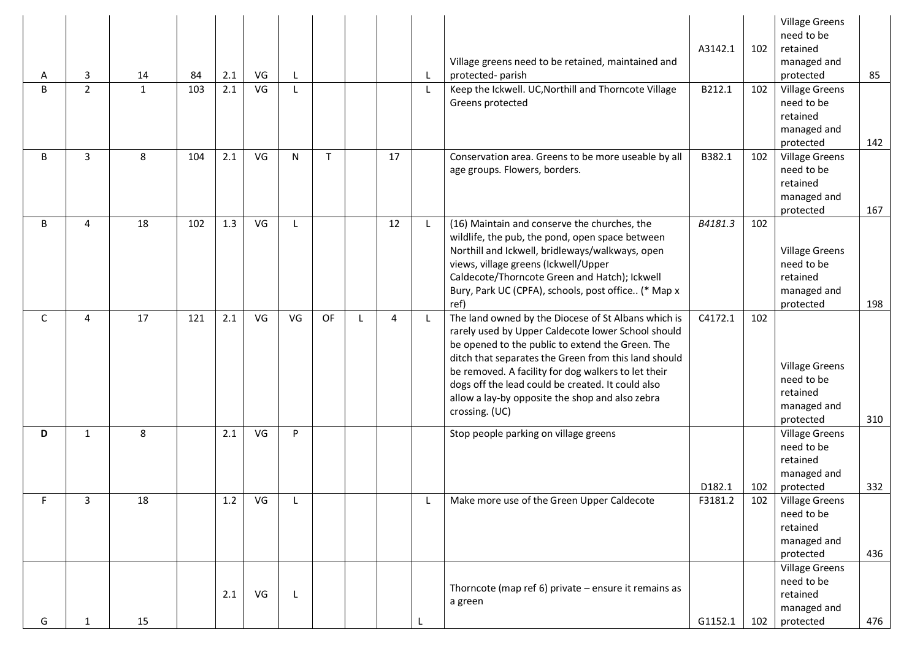| A  | 3              | 14           | 84  | 2.1 | VG | L            |              |              |    | Village greens need to be retained, maintained and<br>protected-parish                                                                                                                                                                                                                                                                                                                                 | A3142.1 | 102 | <b>Village Greens</b><br>need to be<br>retained<br>managed and<br>protected | 85  |
|----|----------------|--------------|-----|-----|----|--------------|--------------|--------------|----|--------------------------------------------------------------------------------------------------------------------------------------------------------------------------------------------------------------------------------------------------------------------------------------------------------------------------------------------------------------------------------------------------------|---------|-----|-----------------------------------------------------------------------------|-----|
| B  | $\overline{2}$ | $\mathbf{1}$ | 103 | 2.1 | VG | $\mathbf{I}$ |              |              |    | Keep the Ickwell. UC, Northill and Thorncote Village<br>Greens protected                                                                                                                                                                                                                                                                                                                               | B212.1  | 102 | <b>Village Greens</b><br>need to be<br>retained<br>managed and<br>protected | 142 |
| B  | 3              | 8            | 104 | 2.1 | VG | N            | $\mathsf{T}$ |              | 17 | Conservation area. Greens to be more useable by all<br>age groups. Flowers, borders.                                                                                                                                                                                                                                                                                                                   | B382.1  | 102 | <b>Village Greens</b><br>need to be<br>retained<br>managed and<br>protected | 167 |
| B  | $\overline{4}$ | 18           | 102 | 1.3 | VG | $\mathsf{L}$ |              |              | 12 | (16) Maintain and conserve the churches, the<br>wildlife, the pub, the pond, open space between<br>Northill and Ickwell, bridleways/walkways, open<br>views, village greens (Ickwell/Upper<br>Caldecote/Thorncote Green and Hatch); Ickwell<br>Bury, Park UC (CPFA), schools, post office (* Map x<br>ref)                                                                                             | B4181.3 | 102 | <b>Village Greens</b><br>need to be<br>retained<br>managed and<br>protected | 198 |
| C  | 4              | 17           | 121 | 2.1 | VG | VG           | OF           | $\mathbf{I}$ | 4  | The land owned by the Diocese of St Albans which is<br>rarely used by Upper Caldecote lower School should<br>be opened to the public to extend the Green. The<br>ditch that separates the Green from this land should<br>be removed. A facility for dog walkers to let their<br>dogs off the lead could be created. It could also<br>allow a lay-by opposite the shop and also zebra<br>crossing. (UC) | C4172.1 | 102 | <b>Village Greens</b><br>need to be<br>retained<br>managed and<br>protected | 310 |
| D  | $\mathbf{1}$   | 8            |     | 2.1 | VG | P            |              |              |    | Stop people parking on village greens                                                                                                                                                                                                                                                                                                                                                                  | D182.1  | 102 | <b>Village Greens</b><br>need to be<br>retained<br>managed and<br>protected | 332 |
| F. | 3              | 18           |     | 1.2 | VG |              |              |              |    | Make more use of the Green Upper Caldecote                                                                                                                                                                                                                                                                                                                                                             | F3181.2 | 102 | <b>Village Greens</b><br>need to be<br>retained<br>managed and<br>protected | 436 |
| G  | 1              | 15           |     | 2.1 | VG | L            |              |              |    | Thorncote (map ref 6) private - ensure it remains as<br>a green                                                                                                                                                                                                                                                                                                                                        | G1152.1 | 102 | <b>Village Greens</b><br>need to be<br>retained<br>managed and<br>protected | 476 |